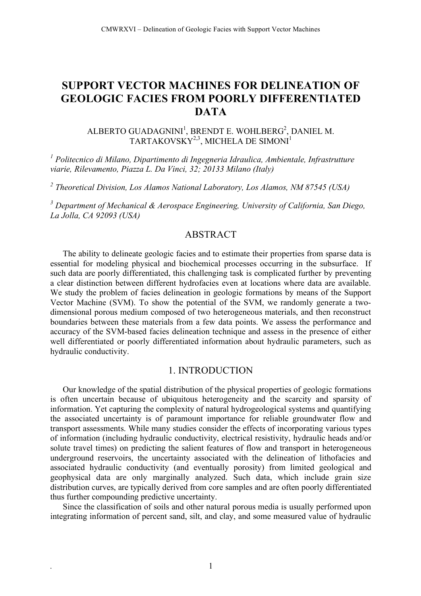# **SUPPORT VECTOR MACHINES FOR DELINEATION OF GEOLOGIC FACIES FROM POORLY DIFFERENTIATED DATA**

### ALBERTO GUADAGNINI $^1$ , BRENDT E. WOHLBERG $^2$ , DANIEL M. TARTAKOVSKY $^{2,3}$ , MICHELA DE SIMONI $^1$

*<sup>1</sup> Politecnico di Milano, Dipartimento di Ingegneria Idraulica, Ambientale, Infrastrutture viarie, Rilevamento, Piazza L. Da Vinci, 32; 20133 Milano (Italy)*

*<sup>2</sup> Theoretical Division, Los Alamos National Laboratory, Los Alamos, NM 87545 (USA)*

*<sup>3</sup> Department of Mechanical & Aerospace Engineering, University of California, San Diego, La Jolla, CA 92093 (USA)*

# **ABSTRACT**

The ability to delineate geologic facies and to estimate their properties from sparse data is essential for modeling physical and biochemical processes occurring in the subsurface. If such data are poorly differentiated, this challenging task is complicated further by preventing a clear distinction between different hydrofacies even at locations where data are available. We study the problem of facies delineation in geologic formations by means of the Support Vector Machine (SVM). To show the potential of the SVM, we randomly generate a twodimensional porous medium composed of two heterogeneous materials, and then reconstruct boundaries between these materials from a few data points. We assess the performance and accuracy of the SVM-based facies delineation technique and assess in the presence of either well differentiated or poorly differentiated information about hydraulic parameters, such as hydraulic conductivity.

#### 1. INTRODUCTION

Our knowledge of the spatial distribution of the physical properties of geologic formations is often uncertain because of ubiquitous heterogeneity and the scarcity and sparsity of information. Yet capturing the complexity of natural hydrogeological systems and quantifying the associated uncertainty is of paramount importance for reliable groundwater flow and transport assessments. While many studies consider the effects of incorporating various types of information (including hydraulic conductivity, electrical resistivity, hydraulic heads and/or solute travel times) on predicting the salient features of flow and transport in heterogeneous underground reservoirs, the uncertainty associated with the delineation of lithofacies and associated hydraulic conductivity (and eventually porosity) from limited geological and geophysical data are only marginally analyzed. Such data, which include grain size distribution curves, are typically derived from core samples and are often poorly differentiated thus further compounding predictive uncertainty.

Since the classification of soils and other natural porous media is usually performed upon integrating information of percent sand, silt, and clay, and some measured value of hydraulic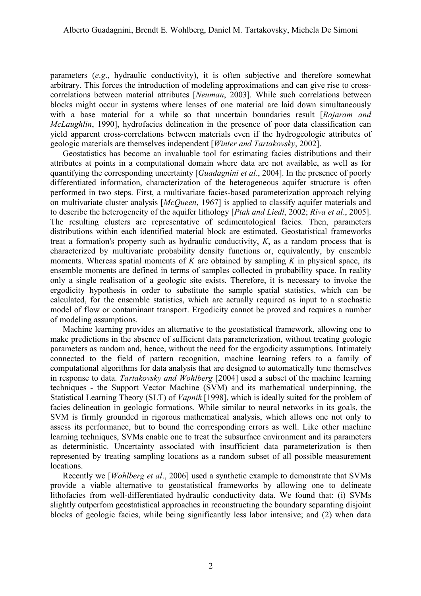parameters (*e*.*g*., hydraulic conductivity), it is often subjective and therefore somewhat arbitrary. This forces the introduction of modeling approximations and can give rise to crosscorrelations between material attributes [*Neuman*, 2003]. While such correlations between blocks might occur in systems where lenses of one material are laid down simultaneously with a base material for a while so that uncertain boundaries result [*Rajaram and McLaughlin*, 1990], hydrofacies delineation in the presence of poor data classification can yield apparent cross-correlations between materials even if the hydrogeologic attributes of geologic materials are themselves independent [*Winter and Tartakovsky*, 2002].

Geostatistics has become an invaluable tool for estimating facies distributions and their attributes at points in a computational domain where data are not available, as well as for quantifying the corresponding uncertainty [*Guadagnini et al*., 2004]. In the presence of poorly differentiated information, characterization of the heterogeneous aquifer structure is often performed in two steps. First, a multivariate facies-based parameterization approach relying on multivariate cluster analysis [*McQueen*, 1967] is applied to classify aquifer materials and to describe the heterogeneity of the aquifer lithology [*Ptak and Liedl*, 2002; *Riva et al*., 2005]. The resulting clusters are representative of sedimentological facies. Then, parameters distributions within each identified material block are estimated. Geostatistical frameworks treat a formation's property such as hydraulic conductivity, *K*, as a random process that is characterized by multivariate probability density functions or, equivalently, by ensemble moments. Whereas spatial moments of *K* are obtained by sampling *K* in physical space, its ensemble moments are defined in terms of samples collected in probability space. In reality only a single realisation of a geologic site exists. Therefore, it is necessary to invoke the ergodicity hypothesis in order to substitute the sample spatial statistics, which can be calculated, for the ensemble statistics, which are actually required as input to a stochastic model of flow or contaminant transport. Ergodicity cannot be proved and requires a number of modeling assumptions.

Machine learning provides an alternative to the geostatistical framework, allowing one to make predictions in the absence of sufficient data parameterization, without treating geologic parameters as random and, hence, without the need for the ergodicity assumptions. Intimately connected to the field of pattern recognition, machine learning refers to a family of computational algorithms for data analysis that are designed to automatically tune themselves in response to data. *Tartakovsky and Wohlberg* [2004] used a subset of the machine learning techniques - the Support Vector Machine (SVM) and its mathematical underpinning, the Statistical Learning Theory (SLT) of *Vapnik* [1998], which is ideally suited for the problem of facies delineation in geologic formations. While similar to neural networks in its goals, the SVM is firmly grounded in rigorous mathematical analysis, which allows one not only to assess its performance, but to bound the corresponding errors as well. Like other machine learning techniques, SVMs enable one to treat the subsurface environment and its parameters as deterministic. Uncertainty associated with insufficient data parameterization is then represented by treating sampling locations as a random subset of all possible measurement locations.

Recently we [*Wohlberg et al*., 2006] used a synthetic example to demonstrate that SVMs provide a viable alternative to geostatistical frameworks by allowing one to delineate lithofacies from well-differentiated hydraulic conductivity data. We found that: (i) SVMs slightly outperfom geostatistical approaches in reconstructing the boundary separating disjoint blocks of geologic facies, while being significantly less labor intensive; and (2) when data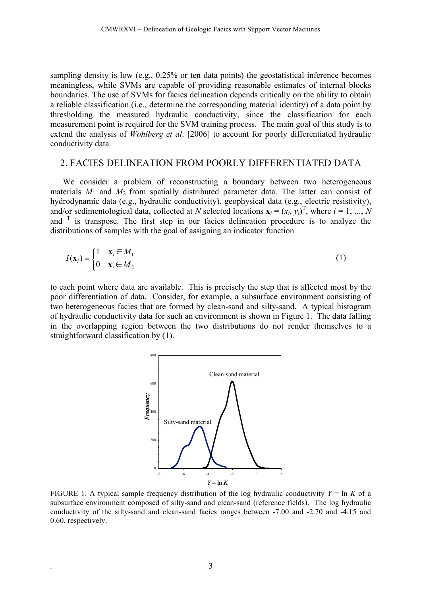sampling density is low (e.g., 0.25% or ten data points) the geostatistical inference becomes meaningless, while SVMs are capable of providing reasonable estimates of internal blocks boundaries. The use of SVMs for facies delineation depends critically on the ability to obtain a reliable classification (i.e., determine the corresponding material identity) of a data point by thresholding the measured hydraulic conductivity, since the classification for each measurement point is required for the SVM training process. The main goal of this study is to extend the analysis of *Wohlberg et al*. [2006] to account for poorly differentiated hydraulic conductivity data.

### 2. FACIES DELINEATION FROM POORLY DIFFERENTIATED DATA

We consider a problem of reconstructing a boundary between two heterogeneous materials  $M_1$  and  $M_2$  from spatially distributed parameter data. The latter can consist of hydrodynamic data (e.g., hydraulic conductivity), geophysical data (e.g., electric resistivity), and/or sedimentological data, collected at *N* selected locations  $\mathbf{x}_i = (x_i, y_i)^T$ , where  $i = 1, ..., N$ and  $\overline{I}$  is transpose. The first step in our facies delineation procedure is to analyze the distributions of samples with the goal of assigning an indicator function

$$
I(\mathbf{x}_i) = \begin{cases} 1 & \mathbf{x}_i \in M_1 \\ 0 & \mathbf{x}_i \in M_2 \end{cases}
$$
 (1)

to each point where data are available. This is precisely the step that is affected most by the poor differentiation of data. Consider, for example, a subsurface environment consisting of two heterogeneous facies that are formed by clean-sand and silty-sand. A typical histogram of hydraulic conductivity data for such an environment is shown in Figure 1. The data falling in the overlapping region between the two distributions do not render themselves to a straightforward classification by (1).



FIGURE 1. A typical sample frequency distribution of the log hydraulic conductivity  $Y = \ln K$  of a subsurface environment composed of silty-sand and clean-sand (reference fields). The log hydraulic conductivity of the silty-sand and clean-sand facies ranges between -7.00 and -2.70 and -4.15 and 0.60, respectively.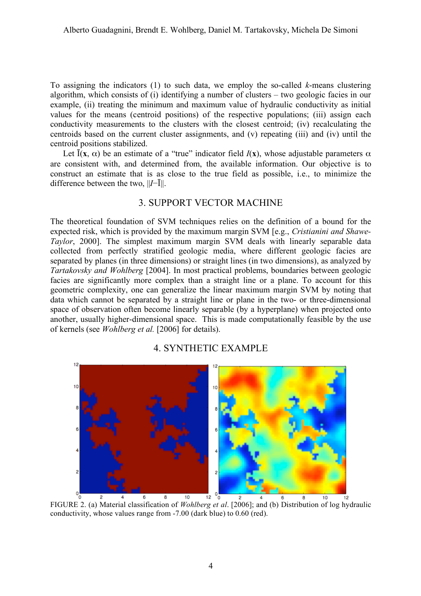To assigning the indicators (1) to such data, we employ the so-called *k*-means clustering algorithm, which consists of (i) identifying a number of clusters – two geologic facies in our example, (ii) treating the minimum and maximum value of hydraulic conductivity as initial values for the means (centroid positions) of the respective populations; (iii) assign each conductivity measurements to the clusters with the closest centroid; (iv) recalculating the centroids based on the current cluster assignments, and (v) repeating (iii) and (iv) until the centroid positions stabilized.

Let  $\bar{I}(x, \alpha)$  be an estimate of a "true" indicator field  $I(x)$ , whose adjustable parameters  $\alpha$ are consistent with, and determined from, the available information. Our objective is to construct an estimate that is as close to the true field as possible, i.e., to minimize the difference between the two, ||*I*−Ī||.

# 3. SUPPORT VECTOR MACHINE

The theoretical foundation of SVM techniques relies on the definition of a bound for the expected risk, which is provided by the maximum margin SVM [e.g., *Cristianini and Shawe-Taylor*, 2000]. The simplest maximum margin SVM deals with linearly separable data collected from perfectly stratified geologic media, where different geologic facies are separated by planes (in three dimensions) or straight lines (in two dimensions), as analyzed by *Tartakovsky and Wohlberg* [2004]. In most practical problems, boundaries between geologic facies are significantly more complex than a straight line or a plane. To account for this geometric complexity, one can generalize the linear maximum margin SVM by noting that data which cannot be separated by a straight line or plane in the two- or three-dimensional space of observation often become linearly separable (by a hyperplane) when projected onto another, usually higher-dimensional space. This is made computationally feasible by the use of kernels (see *Wohlberg et al.* [2006] for details).

# 4. SYNTHETIC EXAMPLE



FIGURE 2. (a) Material classification of *Wohlberg et al*. [2006]; and (b) Distribution of log hydraulic conductivity, whose values range from -7.00 (dark blue) to 0.60 (red).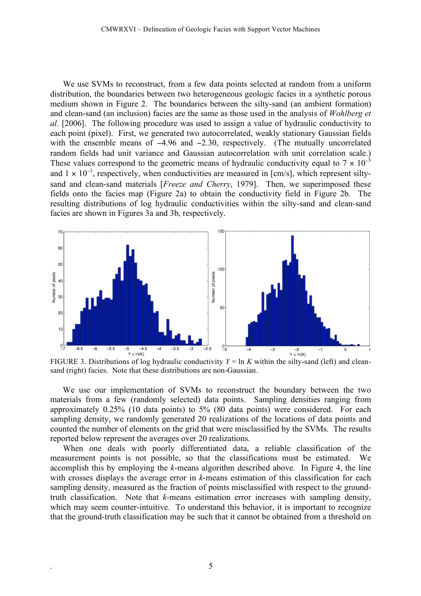We use SVMs to reconstruct, from a few data points selected at random from a uniform distribution, the boundaries between two heterogeneous geologic facies in a synthetic porous medium shown in Figure 2. The boundaries between the silty-sand (an ambient formation) and clean-sand (an inclusion) facies are the same as those used in the analysis of *Wohlberg et al*. [2006]. The following procedure was used to assign a value of hydraulic conductivity to each point (pixel). First, we generated two autocorrelated, weakly stationary Gaussian fields with the ensemble means of  $-4.96$  and  $-2.30$ , respectively. (The mutually uncorrelated random fields had unit variance and Gaussian autocorrelation with unit correlation scale.) These values correspond to the geometric means of hydraulic conductivity equal to  $7 \times 10^{-3}$ and  $1 \times 10^{-1}$ , respectively, when conductivities are measured in [cm/s], which represent siltysand and clean-sand materials [*Freeze and Cherry*, 1979]. Then, we superimposed these fields onto the facies map (Figure 2a) to obtain the conductivity field in Figure 2b. The resulting distributions of log hydraulic conductivities within the silty-sand and clean-sand facies are shown in Figures 3a and 3b, respectively.



FIGURE 3. Distributions of log hydraulic conductivity  $Y = \ln K$  within the silty-sand (left) and cleansand (right) facies. Note that these distributions are non-Gaussian.

We use our implementation of SVMs to reconstruct the boundary between the two materials from a few (randomly selected) data points. Sampling densities ranging from approximately 0.25% (10 data points) to 5% (80 data points) were considered. For each sampling density, we randomly generated 20 realizations of the locations of data points and counted the number of elements on the grid that were misclassified by the SVMs. The results reported below represent the averages over 20 realizations.

When one deals with poorly differentiated data, a reliable classification of the measurement points is not possible, so that the classifications must be estimated. We accomplish this by employing the *k*-means algorithm described above. In Figure 4, the line with crosses displays the average error in *k*-means estimation of this classification for each sampling density, measured as the fraction of points misclassified with respect to the groundtruth classification. Note that *k*-means estimation error increases with sampling density, which may seem counter-intuitive. To understand this behavior, it is important to recognize that the ground-truth classification may be such that it cannot be obtained from a threshold on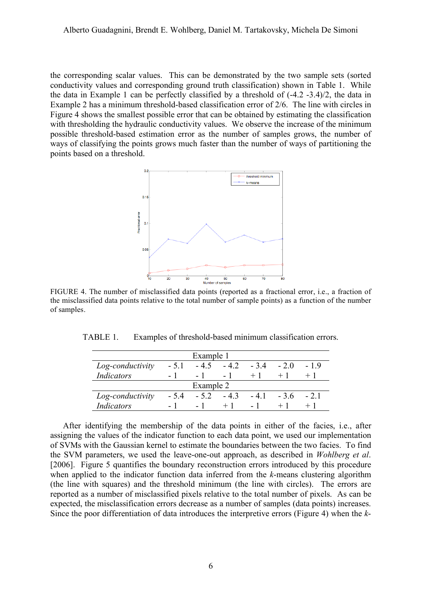the corresponding scalar values. This can be demonstrated by the two sample sets (sorted conductivity values and corresponding ground truth classification) shown in Table 1. While the data in Example 1 can be perfectly classified by a threshold of (-4.2 -3.4)/2, the data in Example 2 has a minimum threshold-based classification error of 2/6. The line with circles in Figure 4 shows the smallest possible error that can be obtained by estimating the classification with thresholding the hydraulic conductivity values. We observe the increase of the minimum possible threshold-based estimation error as the number of samples grows, the number of ways of classifying the points grows much faster than the number of ways of partitioning the points based on a threshold.



FIGURE 4. The number of misclassified data points (reported as a fractional error, i.e., a fraction of the misclassified data points relative to the total number of sample points) as a function of the number of samples.

TABLE 1. Examples of threshold-based minimum classification errors.

| Example 1         |        |        |        |        |       |       |
|-------------------|--------|--------|--------|--------|-------|-------|
| Log-conductivity  | $-51$  | $-4.5$ | $-4.2$ | $-3.4$ | $-20$ | -19   |
| Indicators        |        | $-1$   | $-1$   | $+1$   |       |       |
| Example 2         |        |        |        |        |       |       |
| Log-conductivity  | $-5.4$ | $-52$  | $-43$  | -41    | $-36$ | $-21$ |
| <b>Indicators</b> |        | – I    |        |        |       |       |

After identifying the membership of the data points in either of the facies, i.e., after assigning the values of the indicator function to each data point, we used our implementation of SVMs with the Gaussian kernel to estimate the boundaries between the two facies. To find the SVM parameters, we used the leave-one-out approach, as described in *Wohlberg et al*. [2006]. Figure 5 quantifies the boundary reconstruction errors introduced by this procedure when applied to the indicator function data inferred from the *k*-means clustering algorithm (the line with squares) and the threshold minimum (the line with circles). The errors are reported as a number of misclassified pixels relative to the total number of pixels. As can be expected, the misclassification errors decrease as a number of samples (data points) increases. Since the poor differentiation of data introduces the interpretive errors (Figure 4) when the *k*-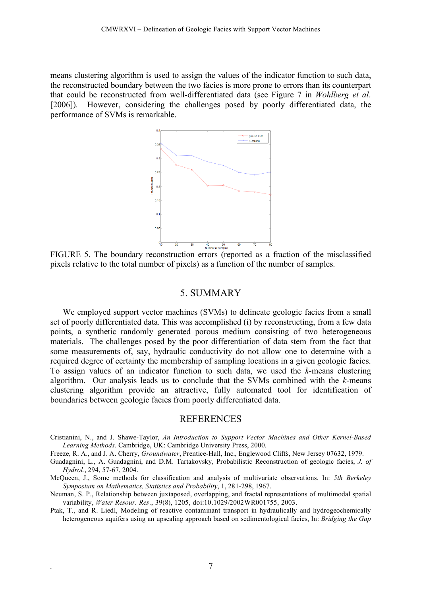means clustering algorithm is used to assign the values of the indicator function to such data, the reconstructed boundary between the two facies is more prone to errors than its counterpart that could be reconstructed from well-differentiated data (see Figure 7 in *Wohlberg et al*. [2006]). However, considering the challenges posed by poorly differentiated data, the performance of SVMs is remarkable.



FIGURE 5. The boundary reconstruction errors (reported as a fraction of the misclassified pixels relative to the total number of pixels) as a function of the number of samples.

#### 5. SUMMARY

We employed support vector machines (SVMs) to delineate geologic facies from a small set of poorly differentiated data. This was accomplished (i) by reconstructing, from a few data points, a synthetic randomly generated porous medium consisting of two heterogeneous materials. The challenges posed by the poor differentiation of data stem from the fact that some measurements of, say, hydraulic conductivity do not allow one to determine with a required degree of certainty the membership of sampling locations in a given geologic facies. To assign values of an indicator function to such data, we used the *k*-means clustering algorithm. Our analysis leads us to conclude that the SVMs combined with the *k*-means clustering algorithm provide an attractive, fully automated tool for identification of boundaries between geologic facies from poorly differentiated data.

#### REFERENCES

Cristianini, N., and J. Shawe-Taylor, *An Introduction to Support Vector Machines and Other Kernel-Based Learning Methods*. Cambridge, UK: Cambridge University Press, 2000.

Freeze, R. A., and J. A. Cherry, *Groundwater*, Prentice-Hall, Inc., Englewood Cliffs, New Jersey 07632, 1979.

- Guadagnini, L., A. Guadagnini, and D.M. Tartakovsky, Probabilistic Reconstruction of geologic facies, *J. of Hydrol.*, 294, 57-67, 2004.
- McQueen, J., Some methods for classification and analysis of multivariate observations. In: *5th Berkeley Symposium on Mathematics, Statistics and Probability*, 1, 281-298, 1967.
- Neuman, S. P., Relationship between juxtaposed, overlapping, and fractal representations of multimodal spatial variability, *Water Resour. Res*., 39(8), 1205, doi:10.1029/2002WR001755, 2003.
- Ptak, T., and R. Liedl, Modeling of reactive contaminant transport in hydraulically and hydrogeochemically heterogeneous aquifers using an upscaling approach based on sedimentological facies, In: *Bridging the Gap*